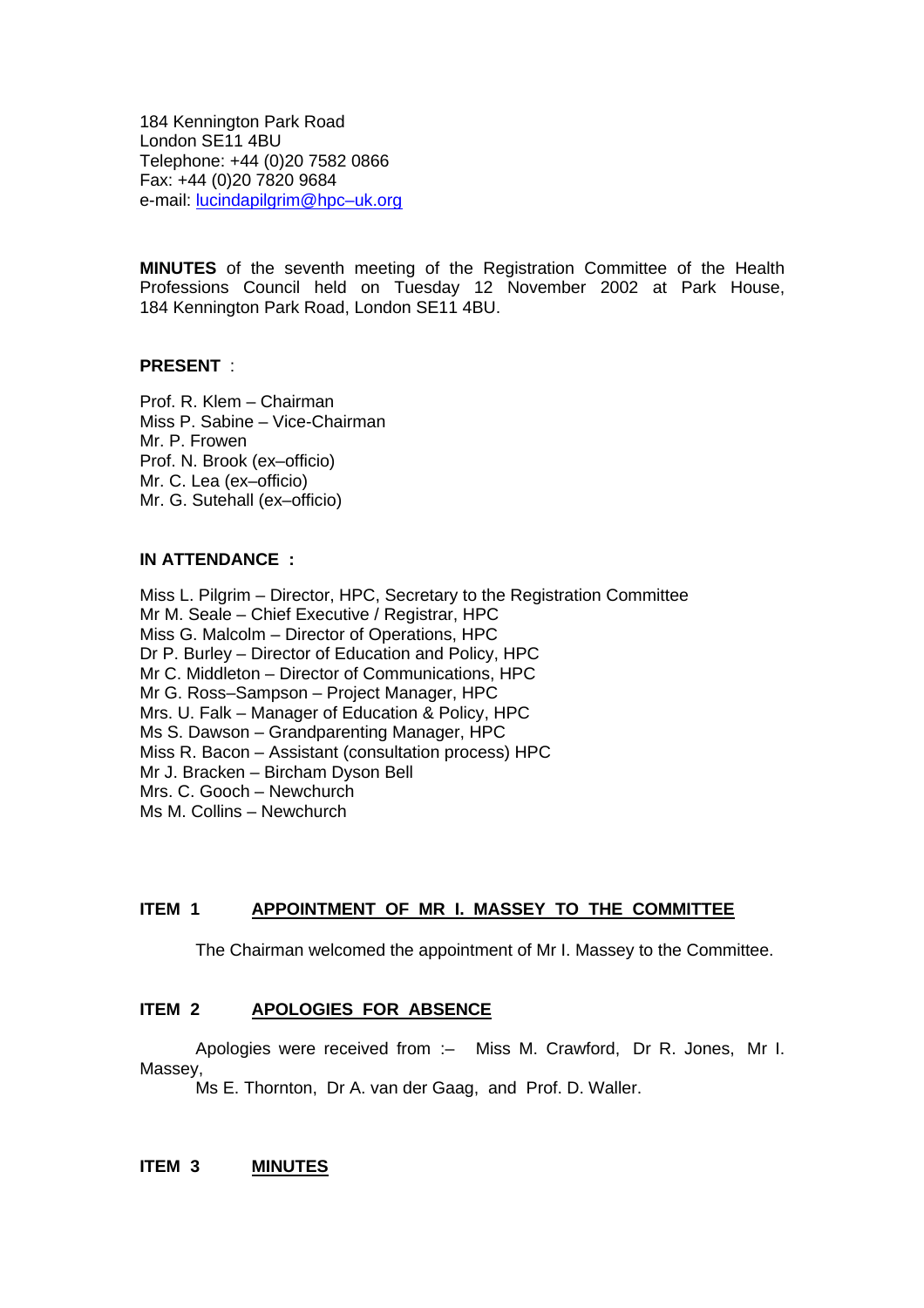184 Kennington Park Road London SE11 4BU Telephone: +44 (0)20 7582 0866 Fax: +44 (0)20 7820 9684 e-mail: lucindapilgrim@hpc–uk.org

**MINUTES** of the seventh meeting of the Registration Committee of the Health Professions Council held on Tuesday 12 November 2002 at Park House, 184 Kennington Park Road, London SE11 4BU.

#### **PRESENT** :

Prof. R. Klem – Chairman Miss P. Sabine – Vice-Chairman Mr. P. Frowen Prof. N. Brook (ex–officio) Mr. C. Lea (ex–officio) Mr. G. Sutehall (ex–officio)

#### **IN ATTENDANCE :**

Miss L. Pilgrim – Director, HPC, Secretary to the Registration Committee Mr M. Seale – Chief Executive / Registrar, HPC Miss G. Malcolm – Director of Operations, HPC Dr P. Burley – Director of Education and Policy, HPC Mr C. Middleton – Director of Communications, HPC Mr G. Ross–Sampson – Project Manager, HPC Mrs. U. Falk – Manager of Education & Policy, HPC Ms S. Dawson – Grandparenting Manager, HPC Miss R. Bacon – Assistant (consultation process) HPC Mr J. Bracken – Bircham Dyson Bell Mrs. C. Gooch – Newchurch Ms M. Collins – Newchurch

### **ITEM 1 APPOINTMENT OF MR I. MASSEY TO THE COMMITTEE**

The Chairman welcomed the appointment of Mr I. Massey to the Committee.

#### **ITEM 2 APOLOGIES FOR ABSENCE**

Apologies were received from :– Miss M. Crawford, Dr R. Jones, Mr I. Massey,

Ms E. Thornton, Dr A. van der Gaag, and Prof. D. Waller.

#### **ITEM 3 MINUTES**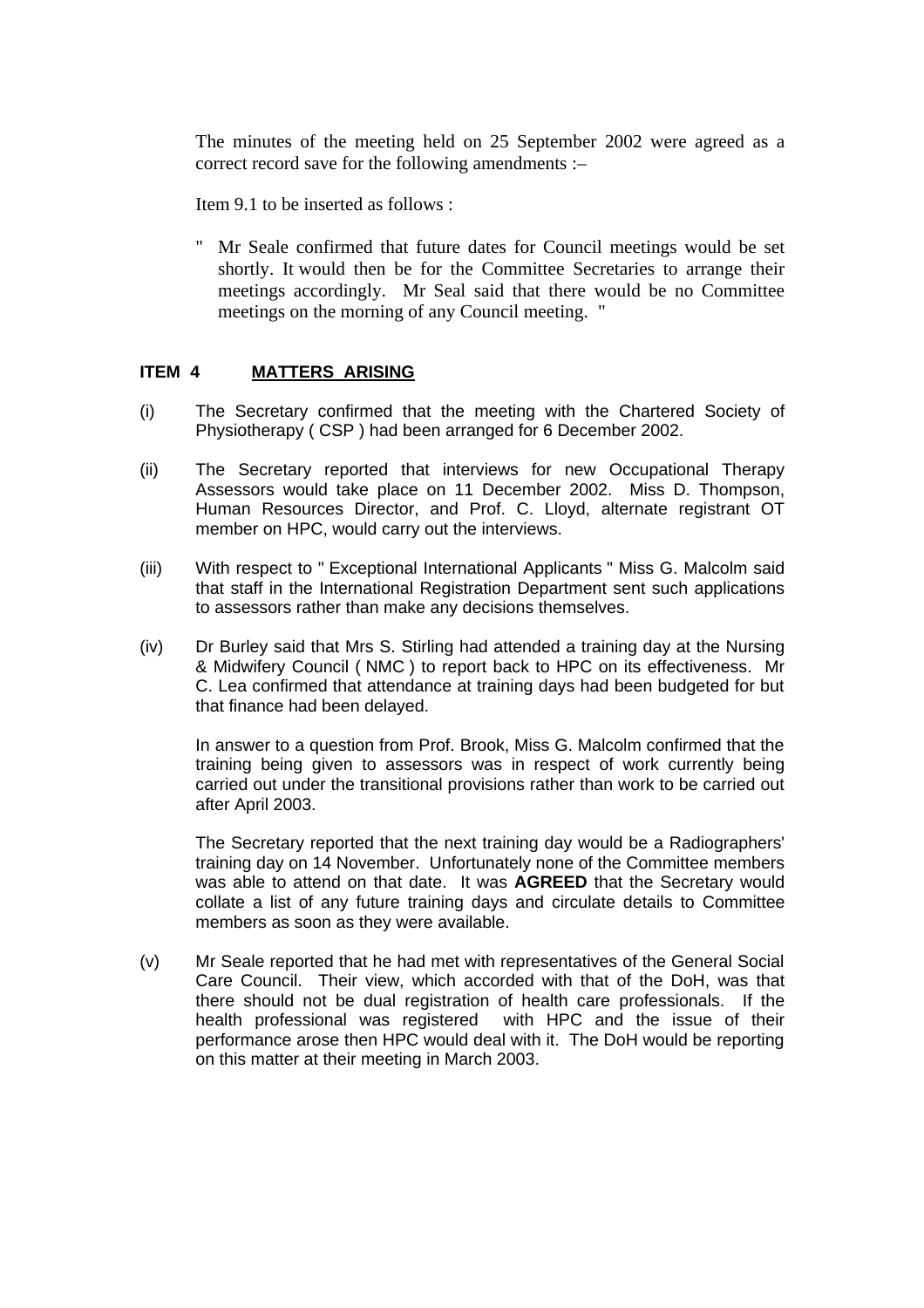The minutes of the meeting held on 25 September 2002 were agreed as a correct record save for the following amendments :–

Item 9.1 to be inserted as follows :

" Mr Seale confirmed that future dates for Council meetings would be set shortly. It would then be for the Committee Secretaries to arrange their meetings accordingly. Mr Seal said that there would be no Committee meetings on the morning of any Council meeting. "

### **ITEM 4 MATTERS ARISING**

- (i) The Secretary confirmed that the meeting with the Chartered Society of Physiotherapy ( CSP ) had been arranged for 6 December 2002.
- (ii) The Secretary reported that interviews for new Occupational Therapy Assessors would take place on 11 December 2002. Miss D. Thompson, Human Resources Director, and Prof. C. Lloyd, alternate registrant OT member on HPC, would carry out the interviews.
- (iii) With respect to " Exceptional International Applicants " Miss G. Malcolm said that staff in the International Registration Department sent such applications to assessors rather than make any decisions themselves.
- (iv) Dr Burley said that Mrs S. Stirling had attended a training day at the Nursing & Midwifery Council ( NMC ) to report back to HPC on its effectiveness. Mr C. Lea confirmed that attendance at training days had been budgeted for but that finance had been delayed.

In answer to a question from Prof. Brook, Miss G. Malcolm confirmed that the training being given to assessors was in respect of work currently being carried out under the transitional provisions rather than work to be carried out after April 2003.

The Secretary reported that the next training day would be a Radiographers' training day on 14 November. Unfortunately none of the Committee members was able to attend on that date. It was **AGREED** that the Secretary would collate a list of any future training days and circulate details to Committee members as soon as they were available.

(v) Mr Seale reported that he had met with representatives of the General Social Care Council. Their view, which accorded with that of the DoH, was that there should not be dual registration of health care professionals. If the health professional was registered with HPC and the issue of their performance arose then HPC would deal with it. The DoH would be reporting on this matter at their meeting in March 2003.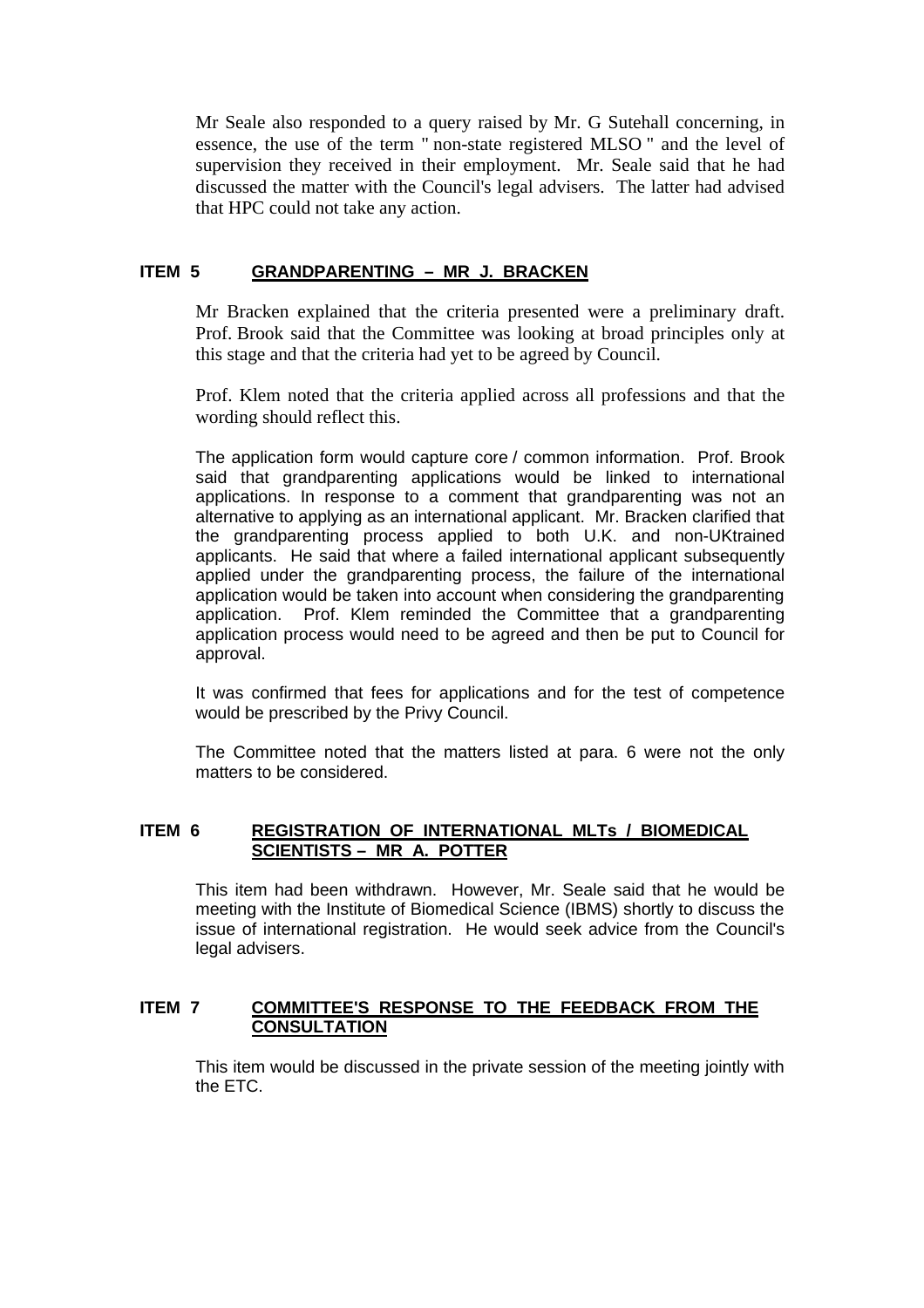Mr Seale also responded to a query raised by Mr. G Sutehall concerning, in essence, the use of the term " non-state registered MLSO " and the level of supervision they received in their employment. Mr. Seale said that he had discussed the matter with the Council's legal advisers. The latter had advised that HPC could not take any action.

## **ITEM 5 GRANDPARENTING – MR J. BRACKEN**

Mr Bracken explained that the criteria presented were a preliminary draft. Prof. Brook said that the Committee was looking at broad principles only at this stage and that the criteria had yet to be agreed by Council.

Prof. Klem noted that the criteria applied across all professions and that the wording should reflect this.

The application form would capture core / common information. Prof. Brook said that grandparenting applications would be linked to international applications. In response to a comment that grandparenting was not an alternative to applying as an international applicant. Mr. Bracken clarified that the grandparenting process applied to both U.K. and non-UKtrained applicants. He said that where a failed international applicant subsequently applied under the grandparenting process, the failure of the international application would be taken into account when considering the grandparenting application. Prof. Klem reminded the Committee that a grandparenting application process would need to be agreed and then be put to Council for approval.

It was confirmed that fees for applications and for the test of competence would be prescribed by the Privy Council.

The Committee noted that the matters listed at para. 6 were not the only matters to be considered.

### **ITEM 6 REGISTRATION OF INTERNATIONAL MLTs / BIOMEDICAL SCIENTISTS – MR A. POTTER**

This item had been withdrawn. However, Mr. Seale said that he would be meeting with the Institute of Biomedical Science (IBMS) shortly to discuss the issue of international registration. He would seek advice from the Council's legal advisers.

### **ITEM 7 COMMITTEE'S RESPONSE TO THE FEEDBACK FROM THE CONSULTATION**

This item would be discussed in the private session of the meeting jointly with the ETC.